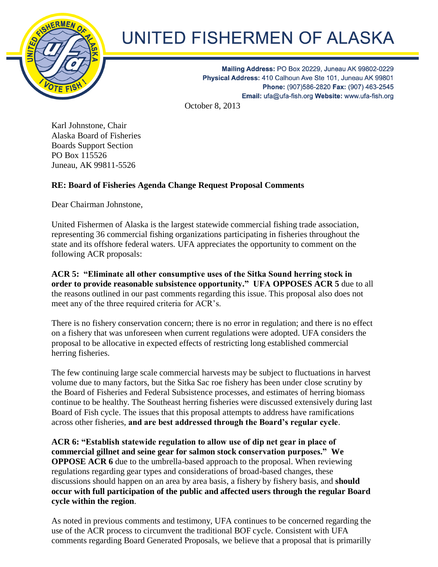

## UNITED FISHERMEN OF ALASKA

Mailing Address: PO Box 20229, Juneau AK 99802-0229 Physical Address: 410 Calhoun Ave Ste 101, Juneau AK 99801 Phone: (907)586-2820 Fax: (907) 463-2545 Email: ufa@ufa-fish.org Website: www.ufa-fish.org

October 8, 2013

Karl Johnstone, Chair Alaska Board of Fisheries Boards Support Section PO Box 115526 Juneau, AK 99811-5526

## **RE: Board of Fisheries Agenda Change Request Proposal Comments**

Dear Chairman Johnstone,

United Fishermen of Alaska is the largest statewide commercial fishing trade association, representing 36 commercial fishing organizations participating in fisheries throughout the state and its offshore federal waters. UFA appreciates the opportunity to comment on the following ACR proposals:

**ACR 5: "Eliminate all other consumptive uses of the Sitka Sound herring stock in order to provide reasonable subsistence opportunity." UFA OPPOSES ACR 5** due to all the reasons outlined in our past comments regarding this issue. This proposal also does not meet any of the three required criteria for ACR's.

There is no fishery conservation concern; there is no error in regulation; and there is no effect on a fishery that was unforeseen when current regulations were adopted. UFA considers the proposal to be allocative in expected effects of restricting long established commercial herring fisheries.

The few continuing large scale commercial harvests may be subject to fluctuations in harvest volume due to many factors, but the Sitka Sac roe fishery has been under close scrutiny by the Board of Fisheries and Federal Subsistence processes, and estimates of herring biomass continue to be healthy. The Southeast herring fisheries were discussed extensively during last Board of Fish cycle. The issues that this proposal attempts to address have ramifications across other fisheries, **and are best addressed through the Board's regular cycle**.

**ACR 6: "Establish statewide regulation to allow use of dip net gear in place of commercial gillnet and seine gear for salmon stock conservation purposes." We OPPOSE ACR 6** due to the umbrella-based approach to the proposal. When reviewing regulations regarding gear types and considerations of broad-based changes, these discussions should happen on an area by area basis, a fishery by fishery basis, and **should occur with full participation of the public and affected users through the regular Board cycle within the region**.

As noted in previous comments and testimony, UFA continues to be concerned regarding the use of the ACR process to circumvent the traditional BOF cycle. Consistent with UFA comments regarding Board Generated Proposals, we believe that a proposal that is primarilly